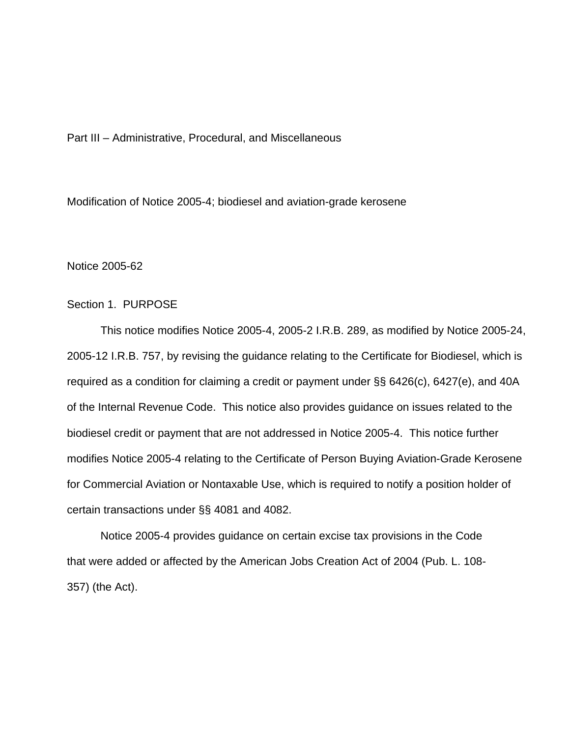Part III – Administrative, Procedural, and Miscellaneous

Modification of Notice 2005-4; biodiesel and aviation-grade kerosene

Notice 2005-62

# Section 1. PURPOSE

 This notice modifies Notice 2005-4, 2005-2 I.R.B. 289, as modified by Notice 2005-24, 2005-12 I.R.B. 757, by revising the guidance relating to the Certificate for Biodiesel, which is required as a condition for claiming a credit or payment under §§ 6426(c), 6427(e), and 40A of the Internal Revenue Code. This notice also provides guidance on issues related to the biodiesel credit or payment that are not addressed in Notice 2005-4. This notice further modifies Notice 2005-4 relating to the Certificate of Person Buying Aviation-Grade Kerosene for Commercial Aviation or Nontaxable Use, which is required to notify a position holder of certain transactions under §§ 4081 and 4082.

 Notice 2005-4 provides guidance on certain excise tax provisions in the Code that were added or affected by the American Jobs Creation Act of 2004 (Pub. L. 108- 357) (the Act).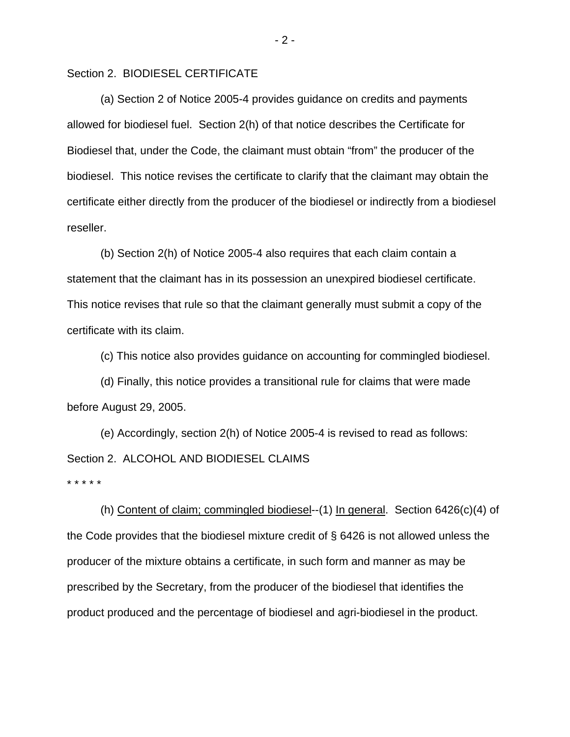Section 2. BIODIESEL CERTIFICATE

 (a) Section 2 of Notice 2005-4 provides guidance on credits and payments allowed for biodiesel fuel. Section 2(h) of that notice describes the Certificate for Biodiesel that, under the Code, the claimant must obtain "from" the producer of the biodiesel. This notice revises the certificate to clarify that the claimant may obtain the certificate either directly from the producer of the biodiesel or indirectly from a biodiesel reseller.

 (b) Section 2(h) of Notice 2005-4 also requires that each claim contain a statement that the claimant has in its possession an unexpired biodiesel certificate. This notice revises that rule so that the claimant generally must submit a copy of the certificate with its claim.

(c) This notice also provides guidance on accounting for commingled biodiesel.

 (d) Finally, this notice provides a transitional rule for claims that were made before August 29, 2005.

 (e) Accordingly, section 2(h) of Notice 2005-4 is revised to read as follows: Section 2. ALCOHOL AND BIODIESEL CLAIMS \* \* \* \* \*

 (h) Content of claim; commingled biodiesel--(1) In general. Section 6426(c)(4) of the Code provides that the biodiesel mixture credit of § 6426 is not allowed unless the producer of the mixture obtains a certificate, in such form and manner as may be prescribed by the Secretary, from the producer of the biodiesel that identifies the product produced and the percentage of biodiesel and agri-biodiesel in the product.

 $-2 -$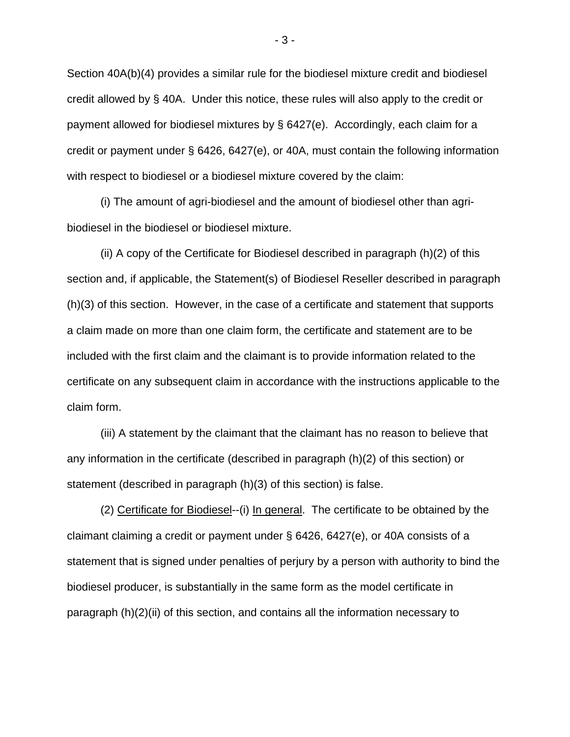Section 40A(b)(4) provides a similar rule for the biodiesel mixture credit and biodiesel credit allowed by § 40A. Under this notice, these rules will also apply to the credit or payment allowed for biodiesel mixtures by § 6427(e). Accordingly, each claim for a credit or payment under § 6426, 6427(e), or 40A, must contain the following information with respect to biodiesel or a biodiesel mixture covered by the claim:

 (i) The amount of agri-biodiesel and the amount of biodiesel other than agribiodiesel in the biodiesel or biodiesel mixture.

 (ii) A copy of the Certificate for Biodiesel described in paragraph (h)(2) of this section and, if applicable, the Statement(s) of Biodiesel Reseller described in paragraph (h)(3) of this section. However, in the case of a certificate and statement that supports a claim made on more than one claim form, the certificate and statement are to be included with the first claim and the claimant is to provide information related to the certificate on any subsequent claim in accordance with the instructions applicable to the claim form.

 (iii) A statement by the claimant that the claimant has no reason to believe that any information in the certificate (described in paragraph (h)(2) of this section) or statement (described in paragraph (h)(3) of this section) is false.

 (2) Certificate for Biodiesel--(i) In general. The certificate to be obtained by the claimant claiming a credit or payment under § 6426, 6427(e), or 40A consists of a statement that is signed under penalties of perjury by a person with authority to bind the biodiesel producer, is substantially in the same form as the model certificate in paragraph (h)(2)(ii) of this section, and contains all the information necessary to

- 3 -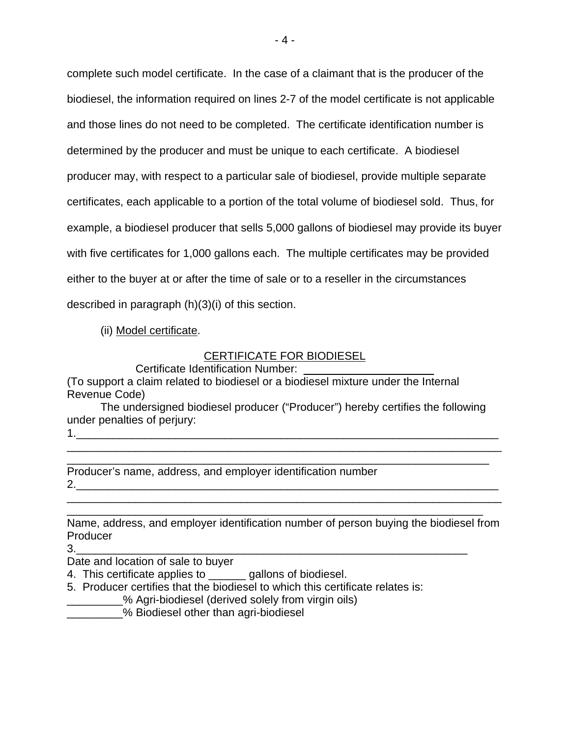complete such model certificate. In the case of a claimant that is the producer of the biodiesel, the information required on lines 2-7 of the model certificate is not applicable and those lines do not need to be completed. The certificate identification number is determined by the producer and must be unique to each certificate. A biodiesel producer may, with respect to a particular sale of biodiesel, provide multiple separate certificates, each applicable to a portion of the total volume of biodiesel sold. Thus, for example, a biodiesel producer that sells 5,000 gallons of biodiesel may provide its buyer with five certificates for 1,000 gallons each. The multiple certificates may be provided either to the buyer at or after the time of sale or to a reseller in the circumstances described in paragraph (h)(3)(i) of this section.

(ii) Model certificate.

# CERTIFICATE FOR BIODIESEL

Certificate Identification Number:

(To support a claim related to biodiesel or a biodiesel mixture under the Internal Revenue Code)

 The undersigned biodiesel producer ("Producer") hereby certifies the following under penalties of perjury:

\_\_\_\_\_\_\_\_\_\_\_\_\_\_\_\_\_\_\_\_\_\_\_\_\_\_\_\_\_\_\_\_\_\_\_\_\_\_\_\_\_\_\_\_\_\_\_\_\_\_\_\_\_\_\_\_\_\_\_\_\_\_\_\_\_\_\_\_

1.\_\_\_\_\_\_\_\_\_\_\_\_\_\_\_\_\_\_\_\_\_\_\_\_\_\_\_\_\_\_\_\_\_\_\_\_\_\_\_\_\_\_\_\_\_\_\_\_\_\_\_\_\_\_\_\_\_\_\_\_\_\_\_\_\_\_\_\_ \_\_\_\_\_\_\_\_\_\_\_\_\_\_\_\_\_\_\_\_\_\_\_\_\_\_\_\_\_\_\_\_\_\_\_\_\_\_\_\_\_\_\_\_\_\_\_\_\_\_\_\_\_\_\_\_\_\_\_\_\_\_\_\_\_\_\_\_\_\_

Producer's name, address, and employer identification number 2.\_\_\_\_\_\_\_\_\_\_\_\_\_\_\_\_\_\_\_\_\_\_\_\_\_\_\_\_\_\_\_\_\_\_\_\_\_\_\_\_\_\_\_\_\_\_\_\_\_\_\_\_\_\_\_\_\_\_\_\_\_\_\_\_\_\_\_\_

Name, address, and employer identification number of person buying the biodiesel from Producer

\_\_\_\_\_\_\_\_\_\_\_\_\_\_\_\_\_\_\_\_\_\_\_\_\_\_\_\_\_\_\_\_\_\_\_\_\_\_\_\_\_\_\_\_\_\_\_\_\_\_\_\_\_\_\_\_\_\_\_\_\_\_\_\_\_\_\_\_\_\_ \_\_\_\_\_\_\_\_\_\_\_\_\_\_\_\_\_\_\_\_\_\_\_\_\_\_\_\_\_\_\_\_\_\_\_\_\_\_\_\_\_\_\_\_\_\_\_\_\_\_\_\_\_\_\_\_\_\_\_\_\_\_\_\_\_\_\_

3.\_\_\_\_\_\_\_\_\_\_\_\_\_\_\_\_\_\_\_\_\_\_\_\_\_\_\_\_\_\_\_\_\_\_\_\_\_\_\_\_\_\_\_\_\_\_\_\_\_\_\_\_\_\_\_\_\_\_\_\_\_\_\_

Date and location of sale to buyer

- 4. This certificate applies to \_\_\_\_\_\_ gallons of biodiesel.
- 5. Producer certifies that the biodiesel to which this certificate relates is:
	- \_\_\_\_\_\_\_\_\_% Agri-biodiesel (derived solely from virgin oils)
- **EXECUTE:** We Biodiesel other than agri-biodiesel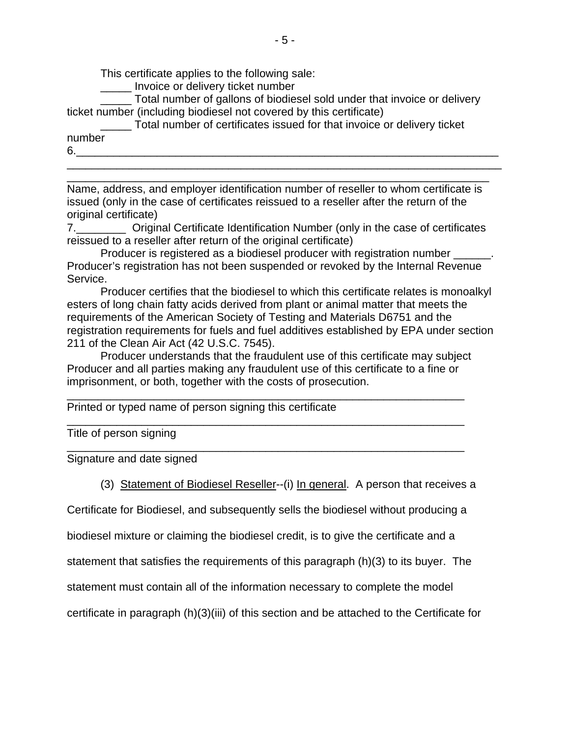This certificate applies to the following sale:

\_\_\_\_\_ Invoice or delivery ticket number

 \_\_\_\_\_ Total number of gallons of biodiesel sold under that invoice or delivery ticket number (including biodiesel not covered by this certificate)

 \_\_\_\_\_ Total number of certificates issued for that invoice or delivery ticket number 6.\_\_\_\_\_\_\_\_\_\_\_\_\_\_\_\_\_\_\_\_\_\_\_\_\_\_\_\_\_\_\_\_\_\_\_\_\_\_\_\_\_\_\_\_\_\_\_\_\_\_\_\_\_\_\_\_\_\_\_\_\_\_\_\_\_\_\_\_

Name, address, and employer identification number of reseller to whom certificate is issued (only in the case of certificates reissued to a reseller after the return of the original certificate)

\_\_\_\_\_\_\_\_\_\_\_\_\_\_\_\_\_\_\_\_\_\_\_\_\_\_\_\_\_\_\_\_\_\_\_\_\_\_\_\_\_\_\_\_\_\_\_\_\_\_\_\_\_\_\_\_\_\_\_\_\_\_\_\_\_\_\_\_\_\_ \_\_\_\_\_\_\_\_\_\_\_\_\_\_\_\_\_\_\_\_\_\_\_\_\_\_\_\_\_\_\_\_\_\_\_\_\_\_\_\_\_\_\_\_\_\_\_\_\_\_\_\_\_\_\_\_\_\_\_\_\_\_\_\_\_\_\_\_

7.\_\_\_\_\_\_\_\_ Original Certificate Identification Number (only in the case of certificates reissued to a reseller after return of the original certificate)

Producer is registered as a biodiesel producer with registration number \_\_\_\_\_\_. Producer's registration has not been suspended or revoked by the Internal Revenue Service.

 Producer certifies that the biodiesel to which this certificate relates is monoalkyl esters of long chain fatty acids derived from plant or animal matter that meets the requirements of the American Society of Testing and Materials D6751 and the registration requirements for fuels and fuel additives established by EPA under section 211 of the Clean Air Act (42 U.S.C. 7545).

 Producer understands that the fraudulent use of this certificate may subject Producer and all parties making any fraudulent use of this certificate to a fine or imprisonment, or both, together with the costs of prosecution.

\_\_\_\_\_\_\_\_\_\_\_\_\_\_\_\_\_\_\_\_\_\_\_\_\_\_\_\_\_\_\_\_\_\_\_\_\_\_\_\_\_\_\_\_\_\_\_\_\_\_\_\_\_\_\_\_\_\_\_\_\_\_\_\_

\_\_\_\_\_\_\_\_\_\_\_\_\_\_\_\_\_\_\_\_\_\_\_\_\_\_\_\_\_\_\_\_\_\_\_\_\_\_\_\_\_\_\_\_\_\_\_\_\_\_\_\_\_\_\_\_\_\_\_\_\_\_\_\_

\_\_\_\_\_\_\_\_\_\_\_\_\_\_\_\_\_\_\_\_\_\_\_\_\_\_\_\_\_\_\_\_\_\_\_\_\_\_\_\_\_\_\_\_\_\_\_\_\_\_\_\_\_\_\_\_\_\_\_\_\_\_\_\_

Printed or typed name of person signing this certificate

Title of person signing

Signature and date signed

(3) Statement of Biodiesel Reseller--(i) In general. A person that receives a

Certificate for Biodiesel, and subsequently sells the biodiesel without producing a

biodiesel mixture or claiming the biodiesel credit, is to give the certificate and a

statement that satisfies the requirements of this paragraph (h)(3) to its buyer. The

statement must contain all of the information necessary to complete the model

certificate in paragraph (h)(3)(iii) of this section and be attached to the Certificate for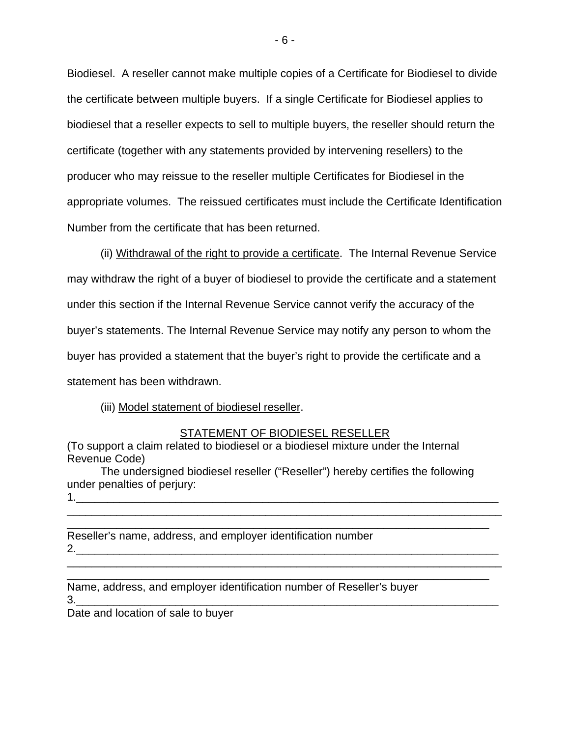Biodiesel. A reseller cannot make multiple copies of a Certificate for Biodiesel to divide the certificate between multiple buyers. If a single Certificate for Biodiesel applies to biodiesel that a reseller expects to sell to multiple buyers, the reseller should return the certificate (together with any statements provided by intervening resellers) to the producer who may reissue to the reseller multiple Certificates for Biodiesel in the appropriate volumes. The reissued certificates must include the Certificate Identification Number from the certificate that has been returned.

 (ii) Withdrawal of the right to provide a certificate. The Internal Revenue Service may withdraw the right of a buyer of biodiesel to provide the certificate and a statement under this section if the Internal Revenue Service cannot verify the accuracy of the buyer's statements. The Internal Revenue Service may notify any person to whom the buyer has provided a statement that the buyer's right to provide the certificate and a statement has been withdrawn.

# (iii) Model statement of biodiesel reseller.

### STATEMENT OF BIODIESEL RESELLER

(To support a claim related to biodiesel or a biodiesel mixture under the Internal Revenue Code)

 The undersigned biodiesel reseller ("Reseller") hereby certifies the following under penalties of perjury: 1.  $\blacksquare$ 

\_\_\_\_\_\_\_\_\_\_\_\_\_\_\_\_\_\_\_\_\_\_\_\_\_\_\_\_\_\_\_\_\_\_\_\_\_\_\_\_\_\_\_\_\_\_\_\_\_\_\_\_\_\_\_\_\_\_\_\_\_\_\_\_\_\_\_\_

\_\_\_\_\_\_\_\_\_\_\_\_\_\_\_\_\_\_\_\_\_\_\_\_\_\_\_\_\_\_\_\_\_\_\_\_\_\_\_\_\_\_\_\_\_\_\_\_\_\_\_\_\_\_\_\_\_\_\_\_\_\_\_\_\_\_\_\_\_\_ \_\_\_\_\_\_\_\_\_\_\_\_\_\_\_\_\_\_\_\_\_\_\_\_\_\_\_\_\_\_\_\_\_\_\_\_\_\_\_\_\_\_\_\_\_\_\_\_\_\_\_\_\_\_\_\_\_\_\_\_\_\_\_\_\_\_\_\_

Reseller's name, address, and employer identification number 2.\_\_\_\_\_\_\_\_\_\_\_\_\_\_\_\_\_\_\_\_\_\_\_\_\_\_\_\_\_\_\_\_\_\_\_\_\_\_\_\_\_\_\_\_\_\_\_\_\_\_\_\_\_\_\_\_\_\_\_\_\_\_\_\_\_\_\_\_

Name, address, and employer identification number of Reseller's buyer 3.\_\_\_\_\_\_\_\_\_\_\_\_\_\_\_\_\_\_\_\_\_\_\_\_\_\_\_\_\_\_\_\_\_\_\_\_\_\_\_\_\_\_\_\_\_\_\_\_\_\_\_\_\_\_\_\_\_\_\_\_\_\_\_\_\_\_\_\_

Date and location of sale to buyer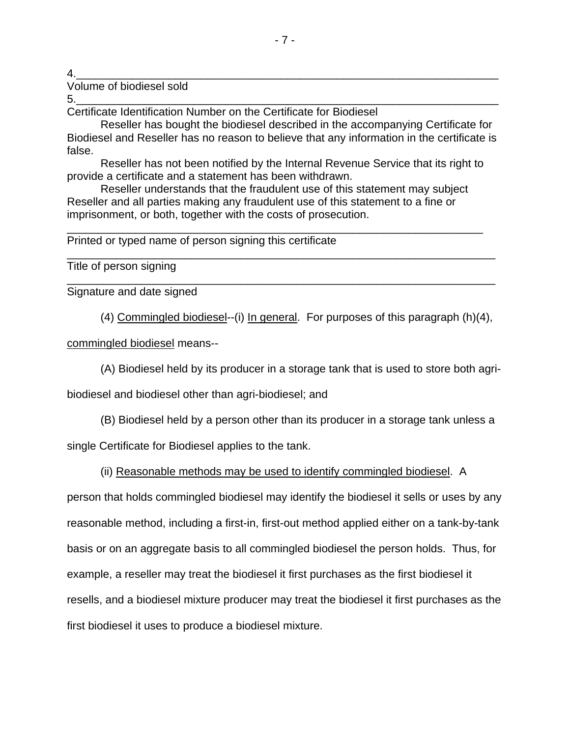4.\_\_\_\_\_\_\_\_\_\_\_\_\_\_\_\_\_\_\_\_\_\_\_\_\_\_\_\_\_\_\_\_\_\_\_\_\_\_\_\_\_\_\_\_\_\_\_\_\_\_\_\_\_\_\_\_\_\_\_\_\_\_\_\_\_\_\_\_

Volume of biodiesel sold

5.\_\_\_\_\_\_\_\_\_\_\_\_\_\_\_\_\_\_\_\_\_\_\_\_\_\_\_\_\_\_\_\_\_\_\_\_\_\_\_\_\_\_\_\_\_\_\_\_\_\_\_\_\_\_\_\_\_\_\_\_\_\_\_\_\_\_\_\_ Certificate Identification Number on the Certificate for Biodiesel

 Reseller has bought the biodiesel described in the accompanying Certificate for Biodiesel and Reseller has no reason to believe that any information in the certificate is false.

 Reseller has not been notified by the Internal Revenue Service that its right to provide a certificate and a statement has been withdrawn.

\_\_\_\_\_\_\_\_\_\_\_\_\_\_\_\_\_\_\_\_\_\_\_\_\_\_\_\_\_\_\_\_\_\_\_\_\_\_\_\_\_\_\_\_\_\_\_\_\_\_\_\_\_\_\_\_\_\_\_\_\_\_\_\_\_\_\_

\_\_\_\_\_\_\_\_\_\_\_\_\_\_\_\_\_\_\_\_\_\_\_\_\_\_\_\_\_\_\_\_\_\_\_\_\_\_\_\_\_\_\_\_\_\_\_\_\_\_\_\_\_\_\_\_\_\_\_\_\_\_\_\_\_\_\_\_\_

\_\_\_\_\_\_\_\_\_\_\_\_\_\_\_\_\_\_\_\_\_\_\_\_\_\_\_\_\_\_\_\_\_\_\_\_\_\_\_\_\_\_\_\_\_\_\_\_\_\_\_\_\_\_\_\_\_\_\_\_\_\_\_\_\_\_\_\_\_

 Reseller understands that the fraudulent use of this statement may subject Reseller and all parties making any fraudulent use of this statement to a fine or imprisonment, or both, together with the costs of prosecution.

Printed or typed name of person signing this certificate

Title of person signing

Signature and date signed

(4) Commingled biodiesel--(i) In general. For purposes of this paragraph (h)(4),

commingled biodiesel means--

(A) Biodiesel held by its producer in a storage tank that is used to store both agri-

biodiesel and biodiesel other than agri-biodiesel; and

(B) Biodiesel held by a person other than its producer in a storage tank unless a

single Certificate for Biodiesel applies to the tank.

# (ii) Reasonable methods may be used to identify commingled biodiesel. A

person that holds commingled biodiesel may identify the biodiesel it sells or uses by any reasonable method, including a first-in, first-out method applied either on a tank-by-tank basis or on an aggregate basis to all commingled biodiesel the person holds. Thus, for example, a reseller may treat the biodiesel it first purchases as the first biodiesel it resells, and a biodiesel mixture producer may treat the biodiesel it first purchases as the first biodiesel it uses to produce a biodiesel mixture.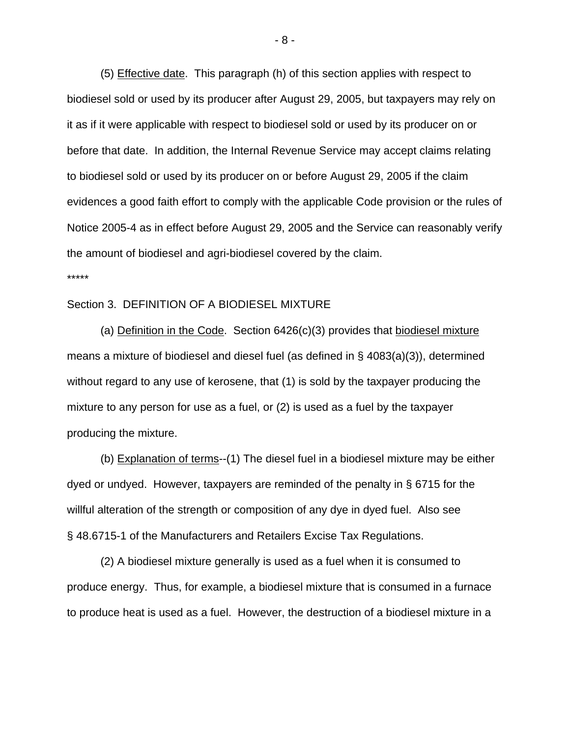(5) Effective date. This paragraph (h) of this section applies with respect to biodiesel sold or used by its producer after August 29, 2005, but taxpayers may rely on it as if it were applicable with respect to biodiesel sold or used by its producer on or before that date. In addition, the Internal Revenue Service may accept claims relating to biodiesel sold or used by its producer on or before August 29, 2005 if the claim evidences a good faith effort to comply with the applicable Code provision or the rules of Notice 2005-4 as in effect before August 29, 2005 and the Service can reasonably verify the amount of biodiesel and agri-biodiesel covered by the claim. \*\*\*\*\*

### Section 3. DEFINITION OF A BIODIESEL MIXTURE

 (a) Definition in the Code. Section 6426(c)(3) provides that biodiesel mixture means a mixture of biodiesel and diesel fuel (as defined in § 4083(a)(3)), determined without regard to any use of kerosene, that (1) is sold by the taxpayer producing the mixture to any person for use as a fuel, or (2) is used as a fuel by the taxpayer producing the mixture.

 (b) Explanation of terms--(1) The diesel fuel in a biodiesel mixture may be either dyed or undyed. However, taxpayers are reminded of the penalty in § 6715 for the willful alteration of the strength or composition of any dye in dyed fuel. Also see § 48.6715-1 of the Manufacturers and Retailers Excise Tax Regulations.

 (2) A biodiesel mixture generally is used as a fuel when it is consumed to produce energy. Thus, for example, a biodiesel mixture that is consumed in a furnace to produce heat is used as a fuel. However, the destruction of a biodiesel mixture in a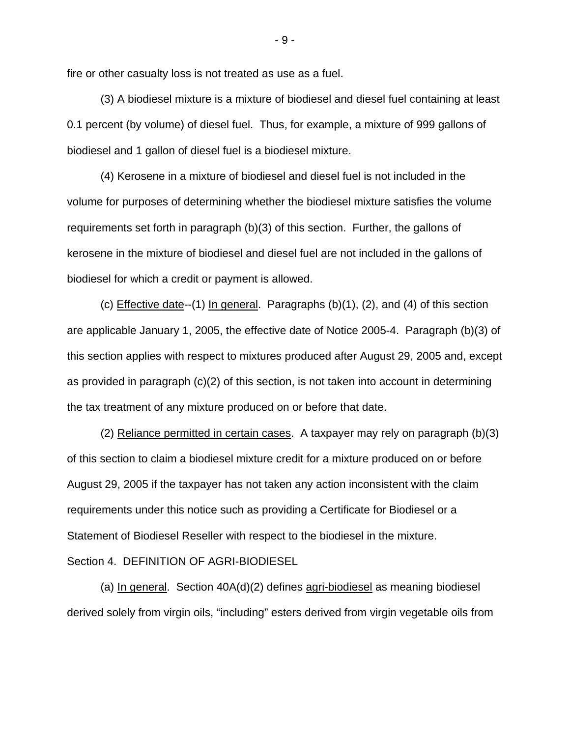fire or other casualty loss is not treated as use as a fuel.

 (3) A biodiesel mixture is a mixture of biodiesel and diesel fuel containing at least 0.1 percent (by volume) of diesel fuel. Thus, for example, a mixture of 999 gallons of biodiesel and 1 gallon of diesel fuel is a biodiesel mixture.

 (4) Kerosene in a mixture of biodiesel and diesel fuel is not included in the volume for purposes of determining whether the biodiesel mixture satisfies the volume requirements set forth in paragraph (b)(3) of this section. Further, the gallons of kerosene in the mixture of biodiesel and diesel fuel are not included in the gallons of biodiesel for which a credit or payment is allowed.

(c) Effective date--(1) In general. Paragraphs  $(b)(1)$ ,  $(2)$ , and  $(4)$  of this section are applicable January 1, 2005, the effective date of Notice 2005-4. Paragraph (b)(3) of this section applies with respect to mixtures produced after August 29, 2005 and, except as provided in paragraph (c)(2) of this section, is not taken into account in determining the tax treatment of any mixture produced on or before that date.

 (2) Reliance permitted in certain cases. A taxpayer may rely on paragraph (b)(3) of this section to claim a biodiesel mixture credit for a mixture produced on or before August 29, 2005 if the taxpayer has not taken any action inconsistent with the claim requirements under this notice such as providing a Certificate for Biodiesel or a Statement of Biodiesel Reseller with respect to the biodiesel in the mixture. Section 4. DEFINITION OF AGRI-BIODIESEL

(a) In general. Section  $40A(d)(2)$  defines agri-biodiesel as meaning biodiesel derived solely from virgin oils, "including" esters derived from virgin vegetable oils from

- 9 -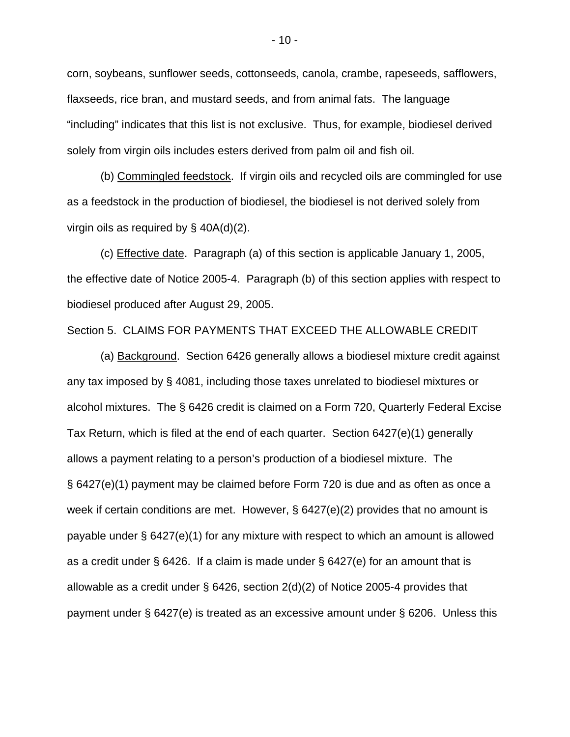corn, soybeans, sunflower seeds, cottonseeds, canola, crambe, rapeseeds, safflowers, flaxseeds, rice bran, and mustard seeds, and from animal fats. The language "including" indicates that this list is not exclusive. Thus, for example, biodiesel derived solely from virgin oils includes esters derived from palm oil and fish oil.

 (b) Commingled feedstock. If virgin oils and recycled oils are commingled for use as a feedstock in the production of biodiesel, the biodiesel is not derived solely from virgin oils as required by § 40A(d)(2).

 (c) Effective date. Paragraph (a) of this section is applicable January 1, 2005, the effective date of Notice 2005-4. Paragraph (b) of this section applies with respect to biodiesel produced after August 29, 2005.

Section 5. CLAIMS FOR PAYMENTS THAT EXCEED THE ALLOWABLE CREDIT

 (a) Background. Section 6426 generally allows a biodiesel mixture credit against any tax imposed by § 4081, including those taxes unrelated to biodiesel mixtures or alcohol mixtures. The § 6426 credit is claimed on a Form 720, Quarterly Federal Excise Tax Return, which is filed at the end of each quarter. Section 6427(e)(1) generally allows a payment relating to a person's production of a biodiesel mixture. The § 6427(e)(1) payment may be claimed before Form 720 is due and as often as once a week if certain conditions are met. However, § 6427(e)(2) provides that no amount is payable under § 6427(e)(1) for any mixture with respect to which an amount is allowed as a credit under  $\S$  6426. If a claim is made under  $\S$  6427(e) for an amount that is allowable as a credit under § 6426, section 2(d)(2) of Notice 2005-4 provides that payment under § 6427(e) is treated as an excessive amount under § 6206. Unless this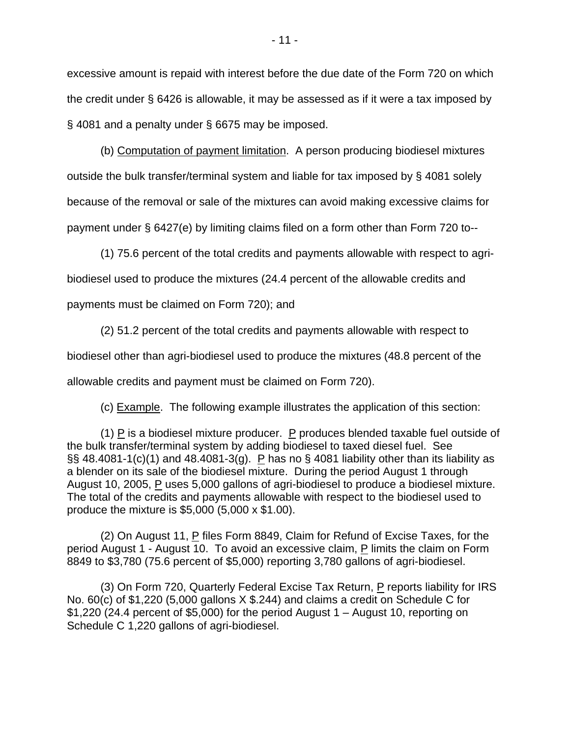excessive amount is repaid with interest before the due date of the Form 720 on which the credit under § 6426 is allowable, it may be assessed as if it were a tax imposed by § 4081 and a penalty under § 6675 may be imposed.

 (b) Computation of payment limitation. A person producing biodiesel mixtures outside the bulk transfer/terminal system and liable for tax imposed by § 4081 solely because of the removal or sale of the mixtures can avoid making excessive claims for payment under § 6427(e) by limiting claims filed on a form other than Form 720 to--

(1) 75.6 percent of the total credits and payments allowable with respect to agri-

biodiesel used to produce the mixtures (24.4 percent of the allowable credits and

payments must be claimed on Form 720); and

 (2) 51.2 percent of the total credits and payments allowable with respect to biodiesel other than agri-biodiesel used to produce the mixtures (48.8 percent of the allowable credits and payment must be claimed on Form 720).

(c) Example. The following example illustrates the application of this section:

(1)  $\overline{P}$  is a biodiesel mixture producer.  $\overline{P}$  produces blended taxable fuel outside of the bulk transfer/terminal system by adding biodiesel to taxed diesel fuel. See  $\S$ § 48.4081-1(c)(1) and 48.4081-3(g). P has no § 4081 liability other than its liability as a blender on its sale of the biodiesel mixture. During the period August 1 through August 10, 2005, P uses 5,000 gallons of agri-biodiesel to produce a biodiesel mixture. The total of the credits and payments allowable with respect to the biodiesel used to produce the mixture is \$5,000 (5,000 x \$1.00).

(2) On August 11,  $P$  files Form 8849, Claim for Refund of Excise Taxes, for the period August 1 - August 10. To avoid an excessive claim, P limits the claim on Form 8849 to \$3,780 (75.6 percent of \$5,000) reporting 3,780 gallons of agri-biodiesel.

(3) On Form 720, Quarterly Federal Excise Tax Return,  $P$  reports liability for IRS No. 60(c) of \$1,220 (5,000 gallons X \$.244) and claims a credit on Schedule C for  $$1,220$  (24.4 percent of  $$5,000$ ) for the period August 1 – August 10, reporting on Schedule C 1,220 gallons of agri-biodiesel.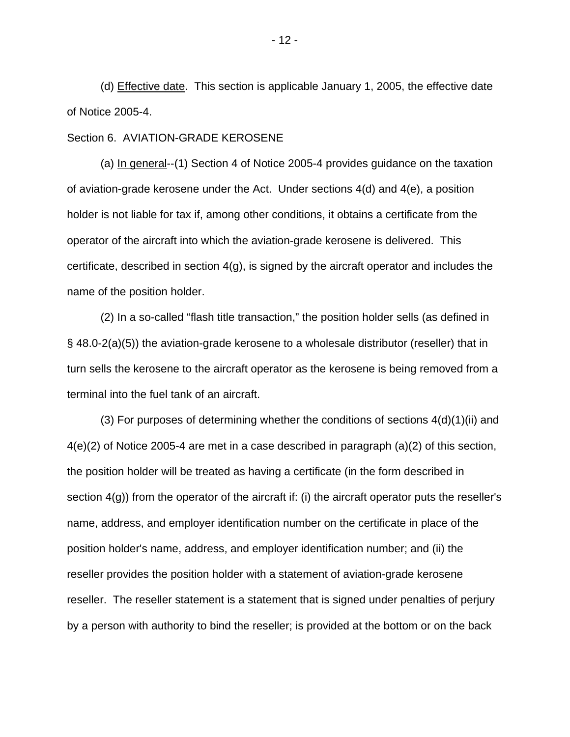(d) Effective date. This section is applicable January 1, 2005, the effective date of Notice 2005-4.

### Section 6. AVIATION-GRADE KEROSENE

 (a) In general--(1) Section 4 of Notice 2005-4 provides guidance on the taxation of aviation-grade kerosene under the Act. Under sections 4(d) and 4(e), a position holder is not liable for tax if, among other conditions, it obtains a certificate from the operator of the aircraft into which the aviation-grade kerosene is delivered. This certificate, described in section 4(g), is signed by the aircraft operator and includes the name of the position holder.

 (2) In a so-called "flash title transaction," the position holder sells (as defined in § 48.0-2(a)(5)) the aviation-grade kerosene to a wholesale distributor (reseller) that in turn sells the kerosene to the aircraft operator as the kerosene is being removed from a terminal into the fuel tank of an aircraft.

 (3) For purposes of determining whether the conditions of sections 4(d)(1)(ii) and 4(e)(2) of Notice 2005-4 are met in a case described in paragraph (a)(2) of this section, the position holder will be treated as having a certificate (in the form described in section 4(g)) from the operator of the aircraft if: (i) the aircraft operator puts the reseller's name, address, and employer identification number on the certificate in place of the position holder's name, address, and employer identification number; and (ii) the reseller provides the position holder with a statement of aviation-grade kerosene reseller. The reseller statement is a statement that is signed under penalties of perjury by a person with authority to bind the reseller; is provided at the bottom or on the back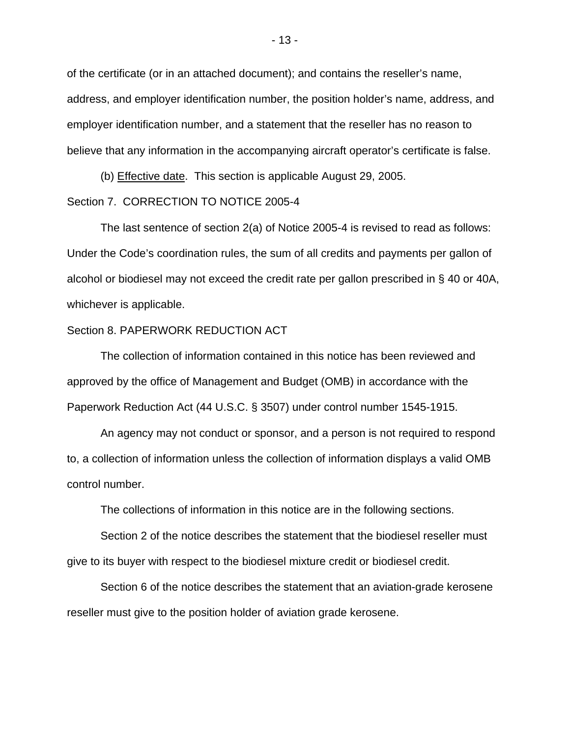of the certificate (or in an attached document); and contains the reseller's name, address, and employer identification number, the position holder's name, address, and employer identification number, and a statement that the reseller has no reason to believe that any information in the accompanying aircraft operator's certificate is false.

 (b) Effective date. This section is applicable August 29, 2005. Section 7. CORRECTION TO NOTICE 2005-4

 The last sentence of section 2(a) of Notice 2005-4 is revised to read as follows: Under the Code's coordination rules, the sum of all credits and payments per gallon of alcohol or biodiesel may not exceed the credit rate per gallon prescribed in § 40 or 40A, whichever is applicable.

### Section 8. PAPERWORK REDUCTION ACT

 The collection of information contained in this notice has been reviewed and approved by the office of Management and Budget (OMB) in accordance with the Paperwork Reduction Act (44 U.S.C. § 3507) under control number 1545-1915.

 An agency may not conduct or sponsor, and a person is not required to respond to, a collection of information unless the collection of information displays a valid OMB control number.

The collections of information in this notice are in the following sections.

 Section 2 of the notice describes the statement that the biodiesel reseller must give to its buyer with respect to the biodiesel mixture credit or biodiesel credit.

 Section 6 of the notice describes the statement that an aviation-grade kerosene reseller must give to the position holder of aviation grade kerosene.